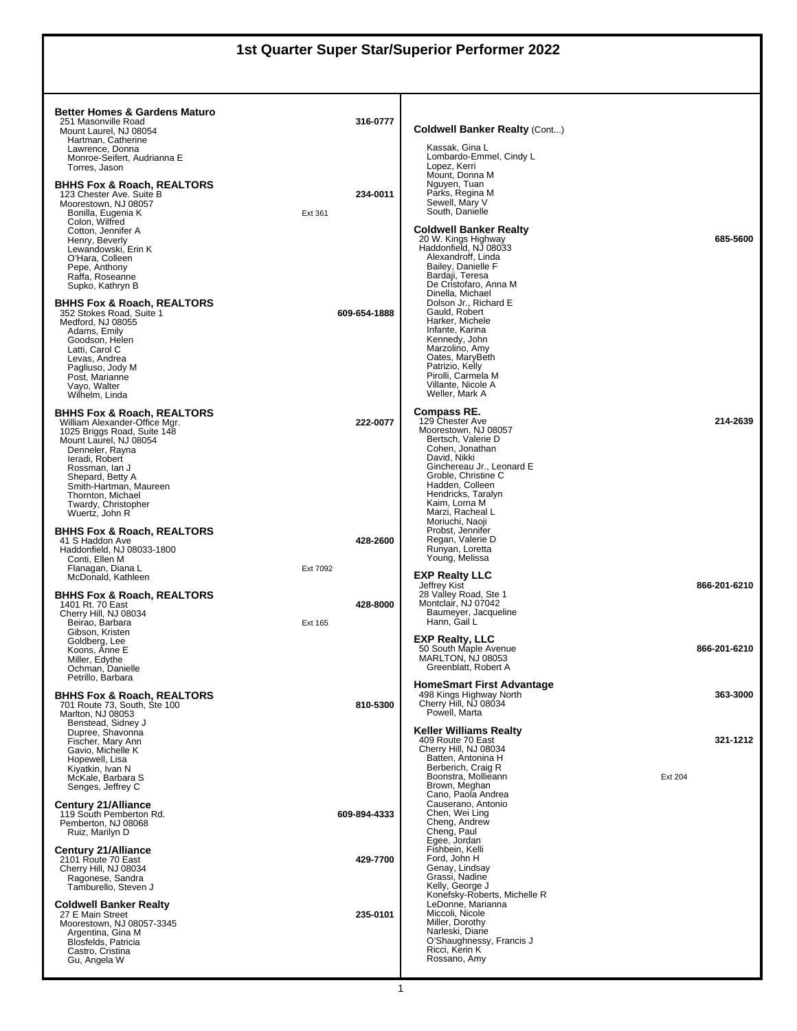## **1st Quarter Super Star/Superior Performer 2022**

| <b>Better Homes &amp; Gardens Maturo</b><br>251 Masonville Road<br>Mount Laurel, NJ 08054<br>Hartman, Catherine<br>Lawrence, Donna<br>Monroe-Seifert, Audrianna E                                                                                                                        | 316-0777             | <b>Coldwell Banker Realty (Cont)</b><br>Kassak, Gina L<br>Lombardo-Emmel, Cindy L                                                                                                                                                                 |                     |
|------------------------------------------------------------------------------------------------------------------------------------------------------------------------------------------------------------------------------------------------------------------------------------------|----------------------|---------------------------------------------------------------------------------------------------------------------------------------------------------------------------------------------------------------------------------------------------|---------------------|
| Torres, Jason<br>BHHS Fox & Roach, REALTORS®<br>123 Chester Ave. Suite B<br>Moorestown, NJ 08057<br>Bonilla, Eugenia K<br>Colon, Wilfred<br>Cotton, Jennifer A                                                                                                                           | 234-0011<br>Ext 361  | Lopez, Kerri<br>Mount, Donna M<br>Nguyen, Tuan<br>Parks, Regina M<br>Sewell, Mary V<br>South, Danielle<br><b>Coldwell Banker Realty</b>                                                                                                           |                     |
| Henry, Beverly<br>Lewandowski, Erin K<br>O'Hara, Colleen<br>Pepe, Anthony<br>Raffa, Roseanne<br>Supko, Kathryn B                                                                                                                                                                         |                      | 20 W. Kings Highway<br>Haddonfield. NJ 08033<br>Alexandroff, Linda<br>Bailey, Danielle F<br>Bardaji, Teresa<br>De Cristofaro, Anna M<br>Dinella, Michael                                                                                          | 685-5600            |
| BHHS Fox & Roach, REALTORS®<br>352 Stokes Road, Suite 1<br>Medford, NJ 08055<br>Adams, Emily<br>Goodson, Helen<br>Latti, Carol C<br>Levas, Andrea<br>Pagliuso, Jody M<br>Post, Marianne<br>Vayo, Walter<br>Wilhelm, Linda                                                                | 609-654-1888         | Dolson Jr., Richard E<br>Gauld, Robert<br>Harker, Michele<br>Infante, Karina<br>Kennedy, John<br>Marzolino, Amy<br>Oates, MaryBeth<br>Patrizio, Kelly<br>Pirolli, Carmela M<br>Villante. Nicole A<br>Weller, Mark A                               |                     |
| BHHS Fox & Roach, REALTORS®<br>William Alexander-Office Mgr.<br>1025 Briggs Road, Suite 148<br>Mount Laurel, NJ 08054<br>Denneler, Rayna<br>leradi, Robert<br>Rossman, Ian J<br>Shepard, Betty A<br>Smith-Hartman, Maureen<br>Thornton, Michael<br>Twardy, Christopher<br>Wuertz, John R | 222-0077             | Compass RE.<br>129 Chester Ave<br>Moorestown, NJ 08057<br>Bertsch, Valerie D<br>Cohen, Jonathan<br>David, Nikki<br>Ginchereau Jr., Leonard E<br>Groble, Christine C<br>Hadden, Colleen<br>Hendricks, Taralyn<br>Kaim, Lorna M<br>Marzi, Racheal L | 214-2639            |
| BHHS Fox & Roach, REALTORS®<br>41 S Haddon Ave<br>Haddonfield, NJ 08033-1800<br>Conti, Ellen M<br>Flanagan, Diana L                                                                                                                                                                      | 428-2600<br>Ext 7092 | Moriuchi, Naoji<br>Probst, Jennifer<br>Regan, Valerie D<br>Runyan, Loretta<br>Young, Melissa                                                                                                                                                      |                     |
| McDonald, Kathleen<br>BHHS Fox & Roach, REALTORS®<br>1401 Rt. 70 East<br>Cherry Hill, NJ 08034<br>Beirao, Barbara                                                                                                                                                                        | 428-8000<br>Ext 165  | <b>EXP Realty LLC</b><br>Jeffrey Kist<br>28 Valley Road, Ste 1<br>Montclair, NJ 07042<br>Baumeyer, Jacqueline<br>Hann, Gail L                                                                                                                     | 866-201-6210        |
| Gibson, Kristen<br>Goldberg, Lee<br>Koons, Anne E<br>Miller, Edythe<br>Ochman, Danielle<br>Petrillo, Barbara                                                                                                                                                                             |                      | <b>EXP Realty, LLC</b><br>50 South Maple Avenue<br>MARLTON, NJ 08053<br>Greenblatt, Robert A                                                                                                                                                      | 866-201-6210        |
| BHHS Fox & Roach, REALTORS®<br>701 Route 73, South, Ste 100<br>Marlton, NJ 08053<br>Benstead, Sidney J                                                                                                                                                                                   | 810-5300             | <b>HomeSmart First Advantage</b><br>498 Kings Highway North<br>Cherry Hill, NJ 08034<br>Powell, Marta                                                                                                                                             | 363-3000            |
| Dupree, Shavonna<br>Fischer, Mary Ann<br>Gavio, Michelle K<br>Hopewell, Lisa<br>Kiyatkin, Ivan N<br>McKale, Barbara S<br>Senges, Jeffrey C                                                                                                                                               |                      | <b>Keller Williams Realtv</b><br>409 Route 70 East<br>Cherry Hill, NJ 08034<br>Batten, Antonina H<br>Berberich, Craig R<br>Boonstra, Mollieann<br>Brown, Meghan<br>Cano. Paola Andrea                                                             | 321-1212<br>Ext 204 |
| <b>Century 21/Alliance</b><br>119 South Pemberton Rd.<br>Pemberton, NJ 08068<br>Ruiz, Marilyn D                                                                                                                                                                                          | 609-894-4333         | Causerano, Antonio<br>Chen. Wei Ling<br>Cheng, Andrew<br>Cheng, Paul<br>Egee, Jordan                                                                                                                                                              |                     |
| <b>Century 21/Alliance</b><br>2101 Route 70 East<br>Cherry Hill, NJ 08034<br>Ragonese, Sandra<br>Tamburello, Steven J                                                                                                                                                                    | 429-7700             | Fishbein, Kelli<br>Ford, John H<br>Genay, Lindsay<br>Grassi, Nadine<br>Kelly, George J<br>Konefsky-Roberts, Michelle R                                                                                                                            |                     |
| <b>Coldwell Banker Realty</b><br>27 E Main Street<br>Moorestown, NJ 08057-3345<br>Argentina, Gina M<br>Blosfelds, Patricia<br>Castro, Cristina<br>Gu, Angela W                                                                                                                           | 235-0101             | LeDonne, Marianna<br>Miccoli, Nicole<br>Miller, Dorothy<br>Narleski, Diane<br>O'Shaughnessy, Francis J<br>Ricci, Kerin K<br>Rossano, Amy                                                                                                          |                     |